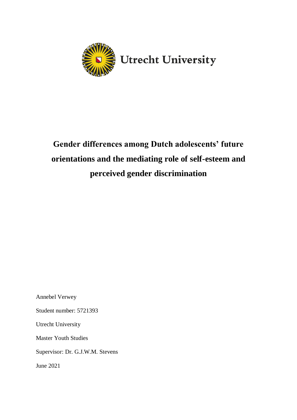

# **Gender differences among Dutch adolescents' future orientations and the mediating role of self-esteem and perceived gender discrimination**

Annebel Verwey Student number: 5721393 Utrecht University Master Youth Studies

Supervisor: Dr. G.J.W.M. Stevens

June 2021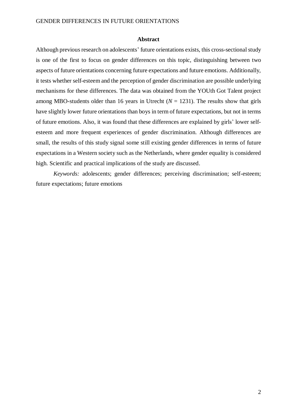#### **Abstract**

Although previous research on adolescents' future orientations exists, this cross-sectional study is one of the first to focus on gender differences on this topic, distinguishing between two aspects of future orientations concerning future expectations and future emotions. Additionally, it tests whether self-esteem and the perception of gender discrimination are possible underlying mechanisms for these differences. The data was obtained from the YOUth Got Talent project among MBO-students older than 16 years in Utrecht ( $N = 1231$ ). The results show that girls have slightly lower future orientations than boys in term of future expectations, but not in terms of future emotions. Also, it was found that these differences are explained by girls' lower selfesteem and more frequent experiences of gender discrimination. Although differences are small, the results of this study signal some still existing gender differences in terms of future expectations in a Western society such as the Netherlands, where gender equality is considered high. Scientific and practical implications of the study are discussed.

*Keywords:* adolescents; gender differences; perceiving discrimination; self-esteem; future expectations; future emotions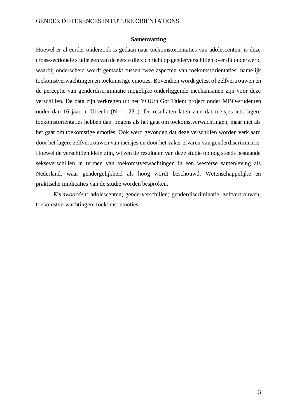#### **Samenvatting**

Hoewel er al eerder onderzoek is gedaan naar toekomstoriëntaties van adolescenten, is deze cross-sectionele studie een van de eerste die zich richt op genderverschillen over dit onderwerp, waarbij onderscheid wordt gemaakt tussen twee aspecten van toekomstoriëntaties, namelijk toekomstverwachtingen en toekomstige emoties. Bovendien wordt getest of zelfvertrouwen en de perceptie van genderdiscriminatie mogelijke onderliggende mechanismen zijn voor deze verschillen. De data zijn verkregen uit het YOUth Got Talent project onder MBO-studenten ouder dan 16 jaar in Utrecht ( $N = 1231$ ). De resultaten laten zien dat meisjes iets lagere toekomstoriëntaties hebben dan jongens als het gaat om toekomstverwachtingen, maar niet als het gaat om toekomstige emoties. Ook werd gevonden dat deze verschillen worden verklaard door het lagere zelfvertrouwen van meisjes en door het vaker ervaren van genderdiscriminatie. Hoewel de verschillen klein zijn, wijzen de resultaten van deze studie op nog steeds bestaande sekseverschillen in termen van toekomstverwachtingen in een westerse samenleving als Nederland, waar gendergelijkheid als hoog wordt beschouwd. Wetenschappelijke en praktische implicaties van de studie worden besproken.

*Kernwoorden:* adolescenten; genderverschillen; genderdiscriminatie; zelfvertrouwen; toekomstverwachtingen; toekomst emoties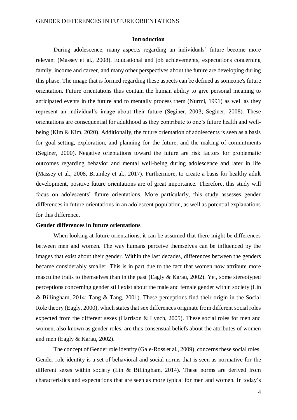#### **Introduction**

During adolescence, many aspects regarding an individuals' future become more relevant (Massey et al., 2008). Educational and job achievements, expectations concerning family, income and career, and many other perspectives about the future are developing during this phase. The image that is formed regarding these aspects can be defined as someone's future orientation. Future orientations thus contain the human ability to give personal meaning to anticipated events in the future and to mentally process them (Nurmi, 1991) as well as they represent an individual's image about their future (Seginer, 2003; Seginer, 2008). These orientations are consequential for adulthood as they contribute to one's future health and wellbeing (Kim & Kim, 2020). Additionally, the future orientation of adolescents is seen as a basis for goal setting, exploration, and planning for the future, and the making of commitments (Seginer, 2000). Negative orientations toward the future are risk factors for problematic outcomes regarding behavior and mental well-being during adolescence and later in life (Massey et al., 2008, Brumley et al., 2017). Furthermore, to create a basis for healthy adult development, positive future orientations are of great importance. Therefore, this study will focus on adolescents' future orientations. More particularly, this study assesses gender differences in future orientations in an adolescent population, as well as potential explanations for this difference.

#### **Gender differences in future orientations**

When looking at future orientations, it can be assumed that there might be differences between men and women. The way humans perceive themselves can be influenced by the images that exist about their gender. Within the last decades, differences between the genders became considerably smaller. This is in part due to the fact that women now attribute more masculine traits to themselves than in the past (Eagly & Karau, 2002). Yet, some stereotyped perceptions concerning gender still exist about the male and female gender within society (Lin & Billingham, 2014; Tang & Tang, 2001). These perceptions find their origin in the Social Role theory (Eagly, 2000), which states that sex differences originate from different social roles expected from the different sexes (Harrison & Lynch, 2005). These social roles for men and women, also known as gender roles, are thus consensual beliefs about the attributes of women and men (Eagly & Karau, 2002).

The concept of Gender role identity (Gale-Ross et al., 2009), concerns these social roles. Gender role identity is a set of behavioral and social norms that is seen as normative for the different sexes within society (Lin & Billingham, 2014). These norms are derived from characteristics and expectations that are seen as more typical for men and women. In today's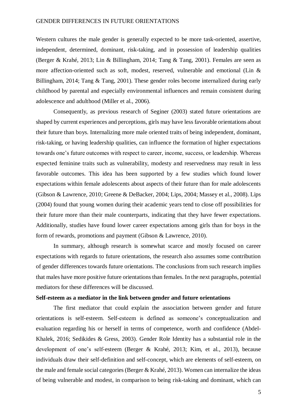#### GENDER DIFFERENCES IN FUTURE ORIENTATIONS

Western cultures the male gender is generally expected to be more task-oriented, assertive, independent, determined, dominant, risk-taking, and in possession of leadership qualities (Berger & Krahé, 2013; Lin & Billingham, 2014; Tang & Tang, 2001). Females are seen as more affection-oriented such as soft, modest, reserved, vulnerable and emotional (Lin & Billingham, 2014; Tang & Tang, 2001). These gender roles become internalized during early childhood by parental and especially environmental influences and remain consistent during adolescence and adulthood (Miller et al., 2006).

Consequently, as previous research of Seginer (2003) stated future orientations are shaped by current experiences and perceptions, girls may have less favorable orientations about their future than boys. Internalizing more male oriented traits of being independent, dominant, risk-taking, or having leadership qualities, can influence the formation of higher expectations towards one's future outcomes with respect to career, income, success, or leadership. Whereas expected feminine traits such as vulnerability, modesty and reservedness may result in less favorable outcomes. This idea has been supported by a few studies which found lower expectations within female adolescents about aspects of their future than for male adolescents (Gibson & Lawrence, 2010; Greene & DeBacker, 2004; Lips, 2004; Massey et al., 2008). Lips (2004) found that young women during their academic years tend to close off possibilities for their future more than their male counterparts, indicating that they have fewer expectations. Additionally, studies have found lower career expectations among girls than for boys in the form of rewards, promotions and payment (Gibson & Lawrence, 2010).

In summary, although research is somewhat scarce and mostly focused on career expectations with regards to future orientations, the research also assumes some contribution of gender differences towards future orientations. The conclusions from such research implies that males have more positive future orientations than females. In the next paragraphs, potential mediators for these differences will be discussed.

# **Self-esteem as a mediator in the link between gender and future orientations**

The first mediator that could explain the association between gender and future orientations is self-esteem. Self-esteem is defined as someone's conceptualization and evaluation regarding his or herself in terms of competence, worth and confidence (Abdel-Khalek, 2016; Sedikides & Gress, 2003). Gender Role Identity has a substantial role in the development of one's self-esteem (Berger & Krahé, 2013; Kim, et al., 2013), because individuals draw their self-definition and self-concept, which are elements of self-esteem, on the male and female social categories (Berger & Krahé, 2013). Women can internalize the ideas of being vulnerable and modest, in comparison to being risk-taking and dominant, which can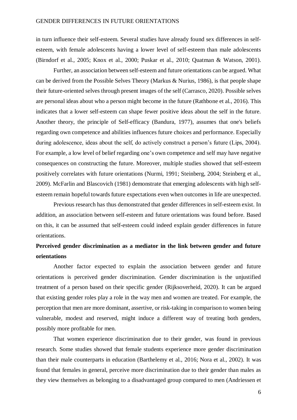in turn influence their self-esteem. Several studies have already found sex differences in selfesteem, with female adolescents having a lower level of self-esteem than male adolescents (Birndorf et al., 2005; Knox et al., 2000; Puskar et al., 2010; Quatman & Watson, 2001).

Further, an association between self-esteem and future orientations can be argued. What can be derived from the Possible Selves Theory (Markus & Nurius, 1986), is that people shape their future-oriented selves through present images of the self (Carrasco, 2020). Possible selves are personal ideas about who a person might become in the future (Rathbone et al., 2016). This indicates that a lower self-esteem can shape fewer positive ideas about the self in the future. Another theory, the principle of Self-efficacy (Bandura, 1977), assumes that one's beliefs regarding own competence and abilities influences future choices and performance. Especially during adolescence, ideas about the self, do actively construct a person's future (Lips, 2004). For example, a low level of belief regarding one's own competence and self may have negative consequences on constructing the future. Moreover, multiple studies showed that self-esteem positively correlates with future orientations (Nurmi, 1991; Steinberg, 2004; Steinberg et al., 2009). McFarlin and Blascovich (1981) demonstrate that emerging adolescents with high selfesteem remain hopeful towards future expectations even when outcomes in life are unexpected.

Previous research has thus demonstrated that gender differences in self-esteem exist. In addition, an association between self-esteem and future orientations was found before. Based on this, it can be assumed that self-esteem could indeed explain gender differences in future orientations.

# **Perceived gender discrimination as a mediator in the link between gender and future orientations**

Another factor expected to explain the association between gender and future orientations is perceived gender discrimination. Gender discrimination is the unjustified treatment of a person based on their specific gender (Rijksoverheid, 2020). It can be argued that existing gender roles play a role in the way men and women are treated. For example, the perception that men are more dominant, assertive, or risk-taking in comparison to women being vulnerable, modest and reserved, might induce a different way of treating both genders, possibly more profitable for men.

That women experience discrimination due to their gender, was found in previous research. Some studies showed that female students experience more gender discrimination than their male counterparts in education (Barthelemy et al., 2016; Nora et al., 2002). It was found that females in general, perceive more discrimination due to their gender than males as they view themselves as belonging to a disadvantaged group compared to men (Andriessen et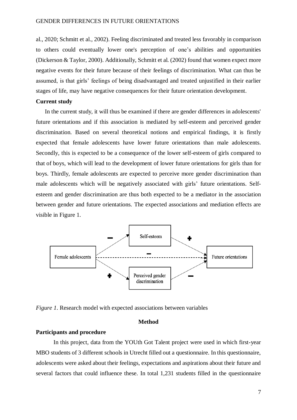al., 2020; Schmitt et al., 2002). Feeling discriminated and treated less favorably in comparison to others could eventually lower one's perception of one's abilities and opportunities (Dickerson & Taylor, 2000). Additionally, Schmitt et al. (2002) found that women expect more negative events for their future because of their feelings of discrimination. What can thus be assumed, is that girls' feelings of being disadvantaged and treated unjustified in their earlier stages of life, may have negative consequences for their future orientation development.

# **Current study**

In the current study, it will thus be examined if there are gender differences in adolescents' future orientations and if this association is mediated by self-esteem and perceived gender discrimination. Based on several theoretical notions and empirical findings, it is firstly expected that female adolescents have lower future orientations than male adolescents. Secondly, this is expected to be a consequence of the lower self-esteem of girls compared to that of boys, which will lead to the development of lower future orientations for girls than for boys. Thirdly, female adolescents are expected to perceive more gender discrimination than male adolescents which will be negatively associated with girls' future orientations. Selfesteem and gender discrimination are thus both expected to be a mediator in the association between gender and future orientations. The expected associations and mediation effects are visible in Figure 1.



*Figure 1*. Research model with expected associations between variables

#### **Method**

#### **Participants and procedure**

In this project, data from the YOUth Got Talent project were used in which first-year MBO students of 3 different schools in Utrecht filled out a questionnaire. In this questionnaire, adolescents were asked about their feelings, expectations and aspirations about their future and several factors that could influence these. In total 1,231 students filled in the questionnaire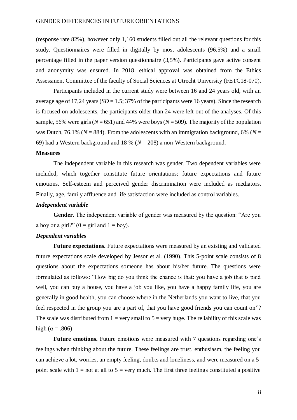(response rate 82%), however only 1,160 students filled out all the relevant questions for this study. Questionnaires were filled in digitally by most adolescents (96,5%) and a small percentage filled in the paper version questionnaire (3,5%). Participants gave active consent and anonymity was ensured. In 2018, ethical approval was obtained from the Ethics Assessment Committee of the faculty of Social Sciences at Utrecht University (FETC18-070).

Participants included in the current study were between 16 and 24 years old, with an average age of 17,24 years (*SD* = 1.5; 37% of the participants were 16 years). Since the research is focused on adolescents, the participants older than 24 were left out of the analyses. Of this sample, 56% were girls ( $N = 651$ ) and 44% were boys ( $N = 509$ ). The majority of the population was Dutch, 76.1% ( $N = 884$ ). From the adolescents with an immigration background, 6% ( $N =$ 69) had a Western background and 18 % (*N* = 208) a non-Western background.

#### **Measures**

The independent variable in this research was gender. Two dependent variables were included, which together constitute future orientations: future expectations and future emotions. Self-esteem and perceived gender discrimination were included as mediators. Finally, age, family affluence and life satisfaction were included as control variables.

# *Independent variable*

**Gender.** The independent variable of gender was measured by the question: "Are you a boy or a girl?"  $(0 = \text{girl} \text{ and } 1 = \text{boy})$ .

# *Dependent variables*

**Future expectations.** Future expectations were measured by an existing and validated future expectations scale developed by Jessor et al. (1990). This 5-point scale consists of 8 questions about the expectations someone has about his/her future. The questions were formulated as follows: "How big do you think the chance is that: you have a job that is paid well, you can buy a house, you have a job you like, you have a happy family life, you are generally in good health, you can choose where in the Netherlands you want to live, that you feel respected in the group you are a part of, that you have good friends you can count on"? The scale was distributed from  $1 = \text{very small to } 5 = \text{very huge.}$  The reliability of this scale was high ( $\alpha = .806$ )

**Future emotions.** Future emotions were measured with 7 questions regarding one's feelings when thinking about the future. These feelings are trust, enthusiasm, the feeling you can achieve a lot, worries, an empty feeling, doubts and loneliness, and were measured on a 5 point scale with  $1 =$  not at all to  $5 =$  very much. The first three feelings constituted a positive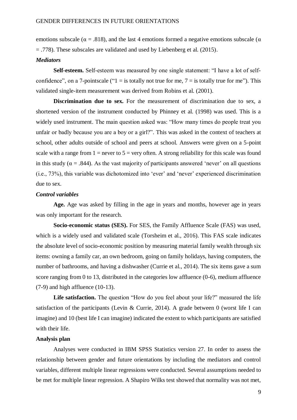emotions subscale ( $\alpha = .818$ ), and the last 4 emotions formed a negative emotions subscale ( $\alpha$ ) = .778). These subscales are validated and used by Liebenberg et al. (2015).

#### *Mediators*

**Self-esteem.** Self-esteem was measured by one single statement: "I have a lot of selfconfidence", on a 7-point scale (" $1 =$  is totally not true for me,  $7 =$  is totally true for me"). This validated single-item measurement was derived from Robins et al. (2001).

**Discrimination due to sex.** For the measurement of discrimination due to sex, a shortened version of the instrument conducted by Phinney et al. (1998) was used. This is a widely used instrument. The main question asked was: "How many times do people treat you unfair or badly because you are a boy or a girl?". This was asked in the context of teachers at school, other adults outside of school and peers at school. Answers were given on a 5-point scale with a range from  $1 =$  never to  $5 =$  very often. A strong reliability for this scale was found in this study ( $\alpha = .844$ ). As the vast majority of participants answered 'never' on all questions (i.e., 73%), this variable was dichotomized into 'ever' and 'never' experienced discrimination due to sex.

## *Control variables*

**Age.** Age was asked by filling in the age in years and months, however age in years was only important for the research.

**Socio-economic status (SES).** For SES, the Family Affluence Scale (FAS) was used, which is a widely used and validated scale (Torsheim et al., 2016). This FAS scale indicates the absolute level of socio-economic position by measuring material family wealth through six items: owning a family car, an own bedroom, going on family holidays, having computers, the number of bathrooms, and having a dishwasher (Currie et al., 2014). The six items gave a sum score ranging from 0 to 13, distributed in the categories low affluence (0-6), medium affluence (7-9) and high affluence (10-13).

Life satisfaction. The question "How do you feel about your life?" measured the life satisfaction of the participants (Levin & Currie, 2014). A grade between 0 (worst life I can imagine) and 10 (best life I can imagine) indicated the extent to which participants are satisfied with their life.

# **Analysis plan**

Analyses were conducted in IBM SPSS Statistics version 27. In order to assess the relationship between gender and future orientations by including the mediators and control variables, different multiple linear regressions were conducted. Several assumptions needed to be met for multiple linear regression. A Shapiro Wilks test showed that normality was not met,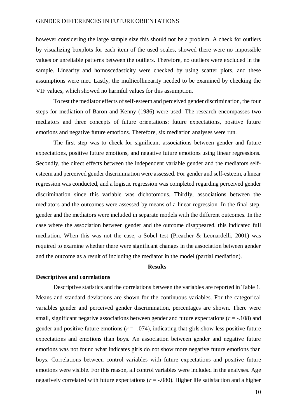#### GENDER DIFFERENCES IN FUTURE ORIENTATIONS

however considering the large sample size this should not be a problem. A check for outliers by visualizing boxplots for each item of the used scales, showed there were no impossible values or unreliable patterns between the outliers. Therefore, no outliers were excluded in the sample. Linearity and homoscedasticity were checked by using scatter plots, and these assumptions were met. Lastly, the multicollinearity needed to be examined by checking the VIF values, which showed no harmful values for this assumption.

To test the mediator effects of self-esteem and perceived gender discrimination, the four steps for mediation of Baron and Kenny (1986) were used. The research encompasses two mediators and three concepts of future orientations: future expectations, positive future emotions and negative future emotions. Therefore, six mediation analyses were run.

The first step was to check for significant associations between gender and future expectations, positive future emotions, and negative future emotions using linear regressions. Secondly, the direct effects between the independent variable gender and the mediators selfesteem and perceived gender discrimination were assessed. For gender and self-esteem, a linear regression was conducted, and a logistic regression was completed regarding perceived gender discrimination since this variable was dichotomous. Thirdly, associations between the mediators and the outcomes were assessed by means of a linear regression. In the final step, gender and the mediators were included in separate models with the different outcomes. In the case where the association between gender and the outcome disappeared, this indicated full mediation. When this was not the case, a Sobel test (Preacher & Leonardelli, 2001) was required to examine whether there were significant changes in the association between gender and the outcome as a result of including the mediator in the model (partial mediation).

# **Results**

#### **Descriptives and correlations**

Descriptive statistics and the correlations between the variables are reported in Table 1. Means and standard deviations are shown for the continuous variables. For the categorical variables gender and perceived gender discrimination, percentages are shown. There were small, significant negative associations between gender and future expectations ( $r = -108$ ) and gender and positive future emotions ( $r = -0.074$ ), indicating that girls show less positive future expectations and emotions than boys. An association between gender and negative future emotions was not found what indicates girls do not show more negative future emotions than boys. Correlations between control variables with future expectations and positive future emotions were visible. For this reason, all control variables were included in the analyses. Age negatively correlated with future expectations  $(r = -.080)$ . Higher life satisfaction and a higher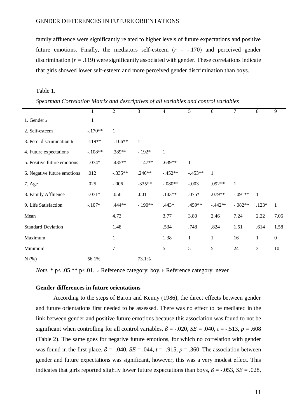family affluence were significantly related to higher levels of future expectations and positive future emotions. Finally, the mediators self-esteem  $(r = -170)$  and perceived gender discrimination  $(r = .119)$  were significantly associated with gender. These correlations indicate that girls showed lower self-esteem and more perceived gender discrimination than boys.

Table 1.

*Spearman Correlation Matrix and descriptives of all variables and control variables*

|                             | 1         | $\overline{2}$ | 3         | $\overline{4}$ | 5            | 6            | 7         | 8            | 9                |
|-----------------------------|-----------|----------------|-----------|----------------|--------------|--------------|-----------|--------------|------------------|
| 1. Gender a                 | 1         |                |           |                |              |              |           |              |                  |
| 2. Self-esteem              | $-.170**$ | $\mathbf{1}$   |           |                |              |              |           |              |                  |
| 3. Perc. discrimination b   | $.119**$  | $-.106**$      | 1         |                |              |              |           |              |                  |
| 4. Future expectations      | $-.108**$ | .389**         | $-.192*$  | $\mathbf{1}$   |              |              |           |              |                  |
| 5. Positive future emotions | $-.074*$  | $.435**$       | $-.147**$ | $.639**$       | $\mathbf{1}$ |              |           |              |                  |
| 6. Negative future emotions | .012      | $-.335**$      | $.246**$  | $-.452**$      | $-.453**$    | $\mathbf{1}$ |           |              |                  |
| 7. Age                      | .025      | $-.006$        | $-335**$  | $-.080**$      | $-.003$      | $.092**$     | 1         |              |                  |
| 8. Family Affluence         | $-.071*$  | .056           | .001      | $.143**$       | $.075*$      | $.079**$     | $-.091**$ | $\mathbf{1}$ |                  |
| 9. Life Satisfaction        | $-.107*$  | .444**         | $-.190**$ | $.443*$        | .459**       | $-.442**$    | $-.082**$ | $.123*$      | $\overline{1}$   |
| Mean                        |           | 4.73           |           | 3.77           | 3.80         | 2.46         | 7.24      | 2.22         | 7.06             |
| <b>Standard Deviation</b>   |           | 1.48           |           | .534           | .748         | .824         | 1.51      | .614         | 1.58             |
| Maximum                     |           | 1              |           | 1.38           | $\mathbf{1}$ | $\mathbf{1}$ | 16        | $\mathbf{1}$ | $\boldsymbol{0}$ |
| Minimum                     |           | 7              |           | 5              | 5            | 5            | 24        | 3            | 10               |
| $N(\%)$                     | 56.1%     |                | 73.1%     |                |              |              |           |              |                  |

*Note.* \* p< .05 \*\* p<.01. a Reference category: boy. b Reference category: never

# **Gender differences in future orientations**

According to the steps of Baron and Kenny (1986), the direct effects between gender and future orientations first needed to be assessed. There was no effect to be mediated in the link between gender and positive future emotions because this association was found to not be significant when controlling for all control variables,  $\beta$  = -.020, *SE* = .040, *t* = -.513, *p* = .608 (Table 2). The same goes for negative future emotions, for which no correlation with gender was found in the first place,  $\beta$  = -.040,  $SE$  = .044,  $t$  = -.915,  $p$  = .360. The association between gender and future expectations was significant, however, this was a very modest effect. This indicates that girls reported slightly lower future expectations than boys,  $\beta$  = -.053, *SE* = .028,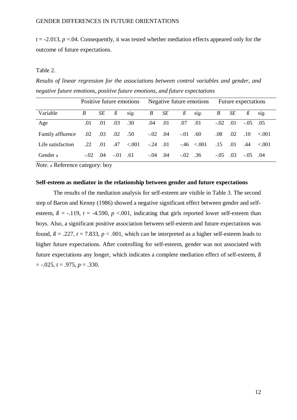$t = -2.013$ ,  $p = 0.04$ . Consequently, it was tested whether mediation effects appeared only for the outcome of future expectations.

# Table 2.

*Results of linear regression for the associations between control variables and gender, and negative future emotions, positive future emotions, and future expectations*

|                   | Positive future emotions |     |                 | Negative future emotions. |                  |      | Future expectations |                 |                  |     |                  |             |
|-------------------|--------------------------|-----|-----------------|---------------------------|------------------|------|---------------------|-----------------|------------------|-----|------------------|-------------|
| Variable          | B                        | SE  | $\beta$         | sig.                      | $\boldsymbol{B}$ | SE   | $\beta$             | sig.            | $\boldsymbol{B}$ | SE  | $\beta$          | sig.        |
| Age               | .01                      | .01 | .03             | .30                       | .04              | .01  | .07                 | .01             | $-.02$           | .01 | $-.05$           | .05         |
| Family affluence  | $.02\,$                  | .03 | $.02 \quad .50$ |                           | $-.02$           | 0.04 | $-.01$              | .60             | .08              | .02 | .10 <sup>°</sup> | $\leq 0.01$ |
| Life satisfaction | .22                      | .01 | .47             | < 0.01                    | $-.24$           | .01  |                     | $-.46 \le 0.01$ | .15              | .01 | .44              | $-.001$     |
| Gender a          | $-.02$ .04               |     | $-.01$          | .61                       | $-.04$           | .04  | $-.02$              | .36             | $-.05$           | .03 | $-.05$           | 0.04        |

*Note.* a Reference category: boy

# **Self-esteem as mediator in the relationship between gender and future expectations**

The results of the mediation analysis for self-esteem are visible in Table 3. The second step of Baron and Kenny (1986) showed a negative significant effect between gender and selfesteem,  $\beta$  = -.119, *t* = -4.590, *p* <.001, indicating that girls reported lower self-esteem than boys. Also, a significant positive association between self-esteem and future expectations was found,  $\beta = .227$ ,  $t = 7.833$ ,  $p < .001$ , which can be interpreted as a higher self-esteem leads to higher future expectations. After controlling for self-esteem, gender was not associated with future expectations any longer, which indicates a complete mediation effect of self-esteem, *ß*  $= -.025, t = .975, p = .330.$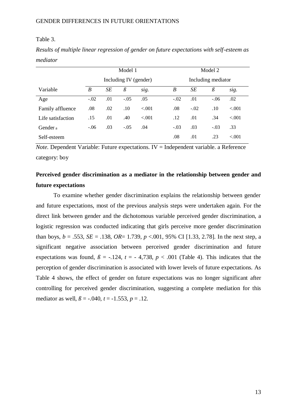#### Table 3.

|                     |        |                       | Model 1 |         |        | Model 2            |         |         |  |  |  |
|---------------------|--------|-----------------------|---------|---------|--------|--------------------|---------|---------|--|--|--|
|                     |        | Including IV (gender) |         |         |        | Including mediator |         |         |  |  |  |
| Variable            | B      | SE                    | $\beta$ | sig.    | B      | SE                 | $\beta$ | sig.    |  |  |  |
| Age                 | $-.02$ | .01                   | $-.05$  | .05     | $-.02$ | .01                | $-.06$  | .02     |  |  |  |
| Family affluence    | .08    | .02                   | .10     | $-.001$ | .08    | $-.02$             | .10     | $-.001$ |  |  |  |
| Life satisfaction   | .15    | .01                   | .40     | < 0.001 | .12    | .01                | .34     | $-.001$ |  |  |  |
| Gender <sub>a</sub> | $-.06$ | .03                   | $-.05$  | .04     | $-.03$ | .03                | $-.03$  | .33     |  |  |  |
| Self-esteem         |        |                       |         |         | .08    | .01                | .23     | $-.001$ |  |  |  |

*Results of multiple linear regression of gender on future expectations with self-esteem as mediator* 

*Note.* Dependent Variable: Future expectations. IV = Independent variable. a Reference category: boy

# **Perceived gender discrimination as a mediator in the relationship between gender and future expectations**

To examine whether gender discrimination explains the relationship between gender and future expectations, most of the previous analysis steps were undertaken again. For the direct link between gender and the dichotomous variable perceived gender discrimination, a logistic regression was conducted indicating that girls perceive more gender discrimination than boys,  $b = .553$ ,  $SE = .138$ ,  $OR = 1.739$ ,  $p < .001$ , 95% CI [1.33, 2.78]. In the next step, a significant negative association between perceived gender discrimination and future expectations was found,  $\beta$  = -.124,  $t$  = -4,738,  $p$  < .001 (Table 4). This indicates that the perception of gender discrimination is associated with lower levels of future expectations. As Table 4 shows, the effect of gender on future expectations was no longer significant after controlling for perceived gender discrimination, suggesting a complete mediation for this mediator as well,  $\beta = -.040$ ,  $t = -1.553$ ,  $p = .12$ .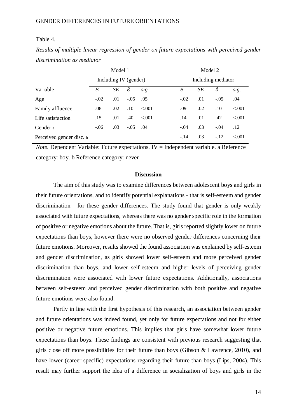#### Table 4.

| Results of multiple linear regression of gender on future expectations with perceived gender |  |  |  |  |
|----------------------------------------------------------------------------------------------|--|--|--|--|
| discrimination as mediator                                                                   |  |  |  |  |

|                          | Model 1               |     |            |         | Model 2            |     |         |         |  |  |
|--------------------------|-----------------------|-----|------------|---------|--------------------|-----|---------|---------|--|--|
|                          | Including IV (gender) |     |            |         | Including mediator |     |         |         |  |  |
| Variable                 | B                     | SE  | $\beta$    | sig.    | B                  | SE  | $\beta$ | sig.    |  |  |
| Age                      | $-.02$                | .01 | $-.05$     | .05     | $-.02$             | .01 | $-.05$  | .04     |  |  |
| Family affluence         | .08                   | .02 | .10        | $-.001$ | .09                | .02 | .10     | $-.001$ |  |  |
| Life satisfaction        | .15                   | .01 | .40        | $-.001$ | .14                | .01 | .42     | $-.001$ |  |  |
| Gender a                 | $-.06$                | .03 | $-.05$ .04 |         | $-.04$             | .03 | $-.04$  | .12     |  |  |
| Perceived gender disc. b |                       |     |            |         | $-.14$             | .03 | $-.12$  | $-.001$ |  |  |

*Note.* Dependent Variable: Future expectations. IV = Independent variable. a Reference category: boy. b Reference category: never

# **Discussion**

The aim of this study was to examine differences between adolescent boys and girls in their future orientations, and to identify potential explanations - that is self-esteem and gender discrimination - for these gender differences. The study found that gender is only weakly associated with future expectations, whereas there was no gender specific role in the formation of positive or negative emotions about the future. That is, girls reported slightly lower on future expectations than boys, however there were no observed gender differences concerning their future emotions. Moreover, results showed the found association was explained by self-esteem and gender discrimination, as girls showed lower self-esteem and more perceived gender discrimination than boys, and lower self-esteem and higher levels of perceiving gender discrimination were associated with lower future expectations. Additionally, associations between self-esteem and perceived gender discrimination with both positive and negative future emotions were also found.

Partly in line with the first hypothesis of this research, an association between gender and future orientations was indeed found, yet only for future expectations and not for either positive or negative future emotions. This implies that girls have somewhat lower future expectations than boys. These findings are consistent with previous research suggesting that girls close off more possibilities for their future than boys (Gibson & Lawrence, 2010), and have lower (career specific) expectations regarding their future than boys (Lips, 2004). This result may further support the idea of a difference in socialization of boys and girls in the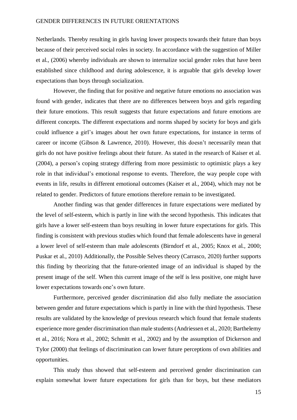#### GENDER DIFFERENCES IN FUTURE ORIENTATIONS

Netherlands. Thereby resulting in girls having lower prospects towards their future than boys because of their perceived social roles in society. In accordance with the suggestion of Miller et al., (2006) whereby individuals are shown to internalize social gender roles that have been established since childhood and during adolescence, it is arguable that girls develop lower expectations than boys through socialization.

However, the finding that for positive and negative future emotions no association was found with gender, indicates that there are no differences between boys and girls regarding their future emotions. This result suggests that future expectations and future emotions are different concepts. The different expectations and norms shaped by society for boys and girls could influence a girl's images about her own future expectations, for instance in terms of career or income (Gibson & Lawrence, 2010). However, this doesn't necessarily mean that girls do not have positive feelings about their future. As stated in the research of Kaiser et al. (2004), a person's coping strategy differing from more pessimistic to optimistic plays a key role in that individual's emotional response to events. Therefore, the way people cope with events in life, results in different emotional outcomes (Kaiser et al., 2004), which may not be related to gender. Predictors of future emotions therefore remain to be investigated.

Another finding was that gender differences in future expectations were mediated by the level of self-esteem, which is partly in line with the second hypothesis. This indicates that girls have a lower self-esteem than boys resulting in lower future expectations for girls. This finding is consistent with previous studies which found that female adolescents have in general a lower level of self-esteem than male adolescents (Birndorf et al., 2005; Knox et al., 2000; Puskar et al., 2010) Additionally, the Possible Selves theory (Carrasco, 2020) further supports this finding by theorizing that the future-oriented image of an individual is shaped by the present image of the self. When this current image of the self is less positive, one might have lower expectations towards one's own future.

Furthermore, perceived gender discrimination did also fully mediate the association between gender and future expectations which is partly in line with the third hypothesis. These results are validated by the knowledge of previous research which found that female students experience more gender discrimination than male students (Andriessen et al., 2020; Barthelemy et al., 2016; Nora et al., 2002; Schmitt et al., 2002) and by the assumption of Dickerson and Tylor (2000) that feelings of discrimination can lower future perceptions of own abilities and opportunities.

This study thus showed that self-esteem and perceived gender discrimination can explain somewhat lower future expectations for girls than for boys, but these mediators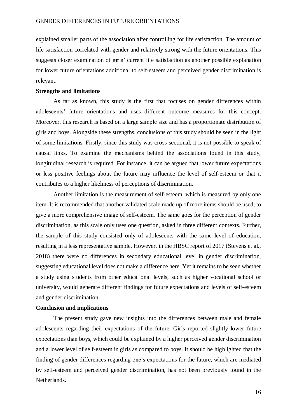explained smaller parts of the association after controlling for life satisfaction. The amount of life satisfaction correlated with gender and relatively strong with the future orientations. This suggests closer examination of girls' current life satisfaction as another possible explanation for lower future orientations additional to self-esteem and perceived gender discrimination is relevant.

#### **Strengths and limitations**

As far as known, this study is the first that focuses on gender differences within adolescents' future orientations and uses different outcome measures for this concept. Moreover, this research is based on a large sample size and has a proportionate distribution of girls and boys. Alongside these strengths, conclusions of this study should be seen in the light of some limitations. Firstly, since this study was cross-sectional, it is not possible to speak of causal links. To examine the mechanisms behind the associations found in this study, longitudinal research is required. For instance, it can be argued that lower future expectations or less positive feelings about the future may influence the level of self-esteem or that it contributes to a higher likeliness of perceptions of discrimination.

Another limitation is the measurement of self-esteem, which is measured by only one item. It is recommended that another validated scale made up of more items should be used, to give a more comprehensive image of self-esteem. The same goes for the perception of gender discrimination, as this scale only uses one question, asked in three different contexts. Further, the sample of this study consisted only of adolescents with the same level of education, resulting in a less representative sample. However, in the HBSC report of 2017 (Stevens et al., 2018) there were no differences in secondary educational level in gender discrimination, suggesting educational level does not make a difference here. Yet it remains to be seen whether a study using students from other educational levels, such as higher vocational school or university, would generate different findings for future expectations and levels of self-esteem and gender discrimination.

# **Conclusion and implications**

The present study gave new insights into the differences between male and female adolescents regarding their expectations of the future. Girls reported slightly lower future expectations than boys, which could be explained by a higher perceived gender discrimination and a lower level of self-esteem in girls as compared to boys. It should be highlighted that the finding of gender differences regarding one's expectations for the future, which are mediated by self-esteem and perceived gender discrimination, has not been previously found in the Netherlands.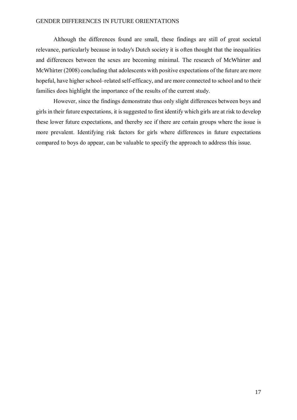# GENDER DIFFERENCES IN FUTURE ORIENTATIONS

Although the differences found are small, these findings are still of great societal relevance, particularly because in today's Dutch society it is often thought that the inequalities and differences between the sexes are becoming minimal. The research of McWhirter and McWhirter (2008) concluding that adolescents with positive expectations of the future are more hopeful, have higher school–related self-efficacy, and are more connected to school and to their families does highlight the importance of the results of the current study.

However, since the findings demonstrate thus only slight differences between boys and girls in their future expectations, it is suggested to first identify which girls are at risk to develop these lower future expectations, and thereby see if there are certain groups where the issue is more prevalent. Identifying risk factors for girls where differences in future expectations compared to boys do appear, can be valuable to specify the approach to address this issue.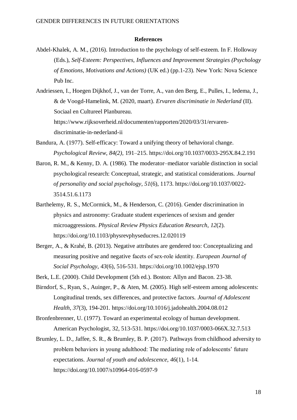#### **References**

- Abdel-Khalek, A. M., (2016). Introduction to the psychology of self-esteem. In F. Holloway (Eds.), *Self-Esteem: Perspectives, Influences and Improvement Strategies (Psychology of Emotions, Motivations and Actions)* (UK ed.) (pp.1-23). New York: Nova Science Pub Inc.
- Andriessen, I., Hoegen Dijkhof, J., van der Torre, A., van den Berg, E., Pulles, I., Iedema, J., & de Voogd-Hamelink, M. (2020, maart). *Ervaren discriminatie in Nederland* (II). Sociaal en Cultureel Planbureau. [https://www.rijksoverheid.nl/documenten/rapporten/2020/03/31/ervaren](https://www.rijksoverheid.nl/documenten/rapporten/2020/03/31/ervaren-discriminatie-in-nederland-ii)[discriminatie-in-nederland-ii](https://www.rijksoverheid.nl/documenten/rapporten/2020/03/31/ervaren-discriminatie-in-nederland-ii)
- Bandura, A. (1977). Self-efficacy: Toward a unifying theory of behavioral change. *Psychological Review*, *84(2),* 191–215. [https://doi.org/10.1037/0033-295X.84.2.191](https://doi.apa.org/doi/10.1037/0033-295X.84.2.191)
- Baron, R. M., & Kenny, D. A. (1986). The moderator–mediator variable distinction in social psychological research: Conceptual, strategic, and statistical considerations. *Journal of personality and social psychology*, *51*(6), 1173. [https://doi.org/10.1037/0022-](https://doi.org/10.1037/0022-%093514.51.6.1173) [3514.51.6.1173](https://doi.org/10.1037/0022-%093514.51.6.1173)
- Barthelemy, R. S., McCormick, M., & Henderson, C. (2016). Gender discrimination in physics and astronomy: Graduate student experiences of sexism and gender microaggressions. *Physical Review Physics Education Research*, *12*(2). https://doi.org/10.1103/physrevphyseducres.12.020119
- Berger, A., & Krahé, B. (2013). Negative attributes are gendered too: Conceptualizing and measuring positive and negative facets of sex‐role identity. *European Journal of Social Psychology*, *43*(6), 516-531. <https://doi.org/10.1002/ejsp.1970>
- Berk, L.E. (2000). Child Development (5th ed.). Boston: Allyn and Bacon. 23-38.
- Birndorf, S., Ryan, S., Auinger, P., & Aten, M. (2005). High self-esteem among adolescents: Longitudinal trends, sex differences, and protective factors. *Journal of Adolescent Health*, *37*(3), 194-201. <https://doi.org/10.1016/j.jadohealth.2004.08.012>
- Bronfenbrenner, U. (1977). Toward an experimental ecology of human development. American Psychologist, 32, 513-531. [https://doi.org/10.1037/0003-066X.32.7.513](https://content.apa.org/doi/10.1037/0003-066X.32.7.513)
- Brumley, L. D., Jaffee, S. R., & Brumley, B. P. (2017). Pathways from childhood adversity to problem behaviors in young adulthood: The mediating role of adolescents' future expectations. *Journal of youth and adolescence*, *46*(1), 1-14. https://doi.org/10.1007/s10964-016-0597-9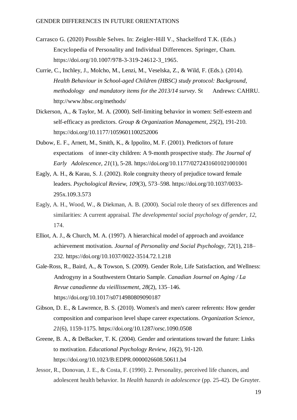- Carrasco G. (2020) Possible Selves. In: Zeigler-Hill V., Shackelford T.K. (Eds.) Encyclopedia of Personality and Individual Differences. Springer, Cham. https://doi.org/10.1007/978-3-319-24612-3\_1965.
- Currie, C., Inchley, J., Molcho, M., Lenzi, M., Veselska, Z., & Wild, F. (Eds.). (2014). *Health Behaviour in School-aged Children (HBSC) study protocol: Background, methodology and mandatory items for the 2013/14 survey*. St Andrews: CAHRU. http://www.hbsc.org/methods/
- Dickerson, A., & Taylor, M. A. (2000). Self-limiting behavior in women: Self-esteem and self-efficacy as predictors. *Group & Organization Management*, *25*(2), 191-210. <https://doi.org/10.1177/1059601100252006>
- Dubow, E. F., Arnett, M., Smith, K., & Ippolito, M. F. (2001). Predictors of future expectations of inner-city children: A 9-month prospective study. *The Journal of Early Adolescence*, *21*(1), 5-28. [https://doi.org/10.1177/0272431601021001001](https://doi.org/10.1177%2F0272431601021001001)
- Eagly, A. H., & Karau, S. J. (2002). Role congruity theory of prejudice toward female leaders. *Psychological Review*, *109*(3), 573–598. [https://doi.org/10.1037/0033-](https://doi.org/10.1037/0033-%09295x.109.3.573) [295x.109.3.573](https://doi.org/10.1037/0033-%09295x.109.3.573)
- Eagly, A. H., Wood, W., & Diekman, A. B. (2000). Social role theory of sex differences and similarities: A current appraisal. *The developmental social psychology of gender*, *12*, 174.
- Elliot, A. J., & Church, M. A. (1997). A hierarchical model of approach and avoidance achievement motivation. *Journal of Personality and Social Psychology, 72*(1), 218– 232. [https://doi.org/10.1037/0022-3514.72.1.218](https://doi.apa.org/doi/10.1037/0022-3514.72.1.218)
- Gale-Ross, R., Baird, A., & Towson, S. (2009). Gender Role, Life Satisfaction, and Wellness: Androgyny in a Southwestern Ontario Sample. *Canadian Journal on Aging / La Revue canadienne du vieillissement*, *28*(2), 135–146. https://doi.org/10.1017/s0714980809090187
- Gibson, D. E., & Lawrence, B. S. (2010). Women's and men's career referents: How gender composition and comparison level shape career expectations. *Organization Science*, *21*(6), 1159-1175. <https://doi.org/10.1287/orsc.1090.0508>
- Greene, B. A., & DeBacker, T. K. (2004). Gender and orientations toward the future: Links to motivation. *Educational Psychology Review*, *16*(2), 91-120. <https://doi.org/10.1023/B:EDPR.0000026608.50611.b4>
- Jessor, R., Donovan, J. E., & Costa, F. (1990). 2. Personality, perceived life chances, and adolescent health behavior. In *Health hazards in adolescence* (pp. 25-42). De Gruyter.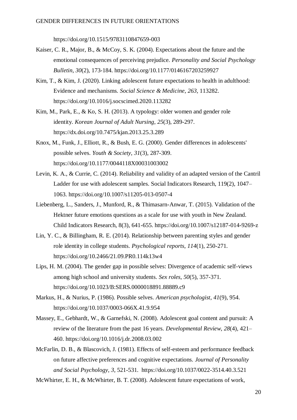<https://doi.org/10.1515/9783110847659-003>

- Kaiser, C. R., Major, B., & McCoy, S. K. (2004). Expectations about the future and the emotional consequences of perceiving prejudice. *Personality and Social Psychology Bulletin*, *30*(2), 173-184. [https://doi.org/10.1177/0146167203259927](https://doi.org/10.1177%2F0146167203259927)
- Kim, T., & Kim, J. (2020). Linking adolescent future expectations to health in adulthood: Evidence and mechanisms. *Social Science & Medicine*, *263*, 113282. <https://doi.org/10.1016/j.socscimed.2020.113282>
- Kim, M., Park, E., & Ko, S. H. (2013). A typology: older women and gender role identity. *Korean Journal of Adult Nursing*, *25*(3), 289-297. <https://dx.doi.org/10.7475/kjan.2013.25.3.289>
- Knox, M., Funk, J., Elliott, R., & Bush, E. G. (2000). Gender differences in adolescents' possible selves. *Youth & Society*, *31*(3), 287-309. <https://doi.org/10.1177/0044118X00031003002>
- Levin, K. A., & Currie, C. (2014). Reliability and validity of an adapted version of the Cantril Ladder for use with adolescent samples. Social Indicators Research, 119(2), 1047– 1063. <https://doi.org/10.1007/s11205-013-0507-4>
- Liebenberg, L., Sanders, J., Munford, R., & Thimasarn-Anwar, T. (2015). Validation of the Hektner future emotions questions as a scale for use with youth in New Zealand. Child Indicators Research, 8(3), 641-655. <https://doi.org/10.1007/s12187-014-9269-z>
- Lin, Y. C., & Billingham, R. E. (2014). Relationship between parenting styles and gender role identity in college students. *Psychological reports*, *114*(1), 250-271. <https://doi.org/10.2466/21.09.PR0.114k13w4>
- Lips, H. M. (2004). The gender gap in possible selves: Divergence of academic self-views among high school and university students. *Sex roles*, *50*(5), 357-371. <https://doi.org/10.1023/B:SERS.0000018891.88889.c9>
- Markus, H., & Nurius, P. (1986). Possible selves. *American psychologist*, *41*(9), 954. <https://doi.org/10.1037/0003-066X.41.9.954>
- Massey, E., Gebhardt, W., & Garnefski, N. (2008). Adolescent goal content and pursuit: A review of the literature from the past 16 years. *Developmental Review*, *28*(4), 421– 460. https://doi.org/10.1016/j.dr.2008.03.002
- McFarlin, D. B., & Blascovich, J. (1981). Effects of self-esteem and performance feedback on future affective preferences and cognitive expectations. *Journal of Personality and Social Psychology*, *3*, 521-531. [https://doi.org/10.1037/0022-3514.40.3.521](https://content.apa.org/doi/10.1037/0022-3514.40.3.521)
- McWhirter, E. H., & McWhirter, B. T. (2008). Adolescent future expectations of work,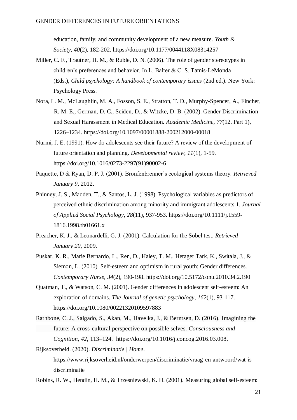education, family, and community development of a new measure. *Youth & Society*, *40*(2), 182-202. <https://doi.org/10.1177/0044118X08314257>

- Miller, C. F., Trautner, H. M., & Ruble, D. N. (2006). The role of gender stereotypes in children's preferences and behavior. In L. Balter & C. S. Tamis-LeMonda (Eds.), *Child psychology: A handbook of contemporary issues* (2nd ed.). New York: Psychology Press.
- Nora, L. M., McLaughlin, M. A., Fosson, S. E., Stratton, T. D., Murphy-Spencer, A., Fincher, R. M. E., German, D. C., Seiden, D., & Witzke, D. B. (2002). Gender Discrimination and Sexual Harassment in Medical Education. *Academic Medicine*, *77*(12, Part 1), 1226–1234. https://doi.org/10.1097/00001888-200212000-00018
- Nurmi, J. E. (1991). How do adolescents see their future? A review of the development of future orientation and planning. *Developmental review*, *11*(1), 1-59. [https://doi.org/10.1016/0273-2297\(91\)90002-6](https://doi.org/10.1016/0273-2297(91)90002-6)
- Paquette, D & Ryan, D. P. J. (2001). Bronfenbrenner's ecological systems theory. *Retrieved January 9*, 2012.
- Phinney, J. S., Madden, T., & Santos, L. J. (1998). Psychological variables as predictors of perceived ethnic discrimination among minority and immigrant adolescents 1. *Journal of Applied Social Psychology*, *28*(11), 937-953. [https://doi.org/10.1111/j.1559-](https://doi.org/10.1111/j.1559-%20%091816.1998.tb01661.x) [1816.1998.tb01661.x](https://doi.org/10.1111/j.1559-%20%091816.1998.tb01661.x)
- Preacher, K. J., & Leonardelli, G. J. (2001). Calculation for the Sobel test. *Retrieved January 20*, 2009.
- Puskar, K. R., Marie Bernardo, L., Ren, D., Haley, T. M., Hetager Tark, K., Switala, J., & Siemon, L. (2010). Self-esteem and optimism in rural youth: Gender differences. *Contemporary Nurse*, *34*(2), 190-198. <https://doi.org/10.5172/conu.2010.34.2.190>
- Quatman, T., & Watson, C. M. (2001). Gender differences in adolescent self-esteem: An exploration of domains. *The Journal of genetic psychology*, *162*(1), 93-117. <https://doi.org/10.1080/00221320109597883>
- Rathbone, C. J., Salgado, S., Akan, M., Havelka, J., & Berntsen, D. (2016). Imagining the future: A cross-cultural perspective on possible selves. *Consciousness and Cognition, 42*, 113–124. [https://doi.org/10.1016/j.concog.2016.03.008.](https://doi.org/10.1016/j.concog.2016.03.008)

Rijksoverheid. (2020). *Discriminatie | Home*. [https://www.rijksoverheid.nl/onderwerpen/discriminatie/vraag-en-antwoord/wat-is](https://www.rijksoverheid.nl/onderwerpen/discriminatie/vraag-en-antwoord/wat-is-)discriminatie

Robins, R. W., Hendin, H. M., & Trzesniewski, K. H. (2001). Measuring global self-esteem: